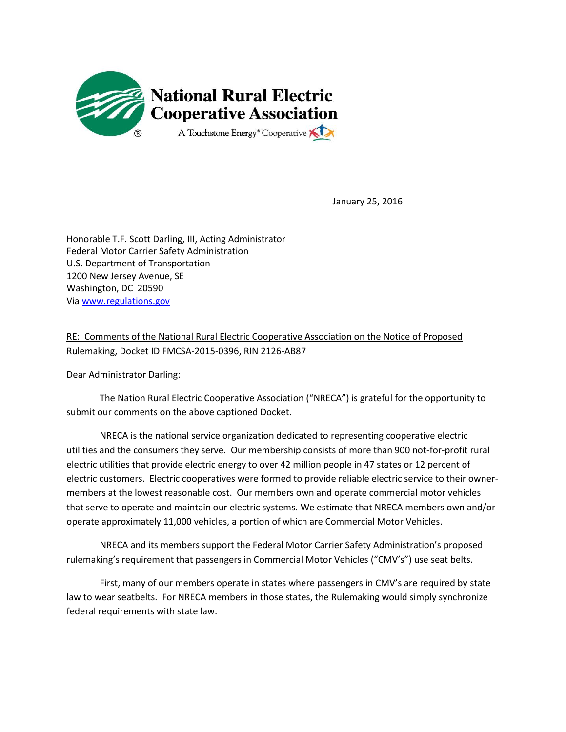

January 25, 2016

Honorable T.F. Scott Darling, III, Acting Administrator Federal Motor Carrier Safety Administration U.S. Department of Transportation 1200 New Jersey Avenue, SE Washington, DC 20590 Vi[a www.regulations.gov](http://www.regulations.gov/)

RE: Comments of the National Rural Electric Cooperative Association on the Notice of Proposed Rulemaking, Docket ID FMCSA-2015-0396, RIN 2126-AB87

Dear Administrator Darling:

The Nation Rural Electric Cooperative Association ("NRECA") is grateful for the opportunity to submit our comments on the above captioned Docket.

NRECA is the national service organization dedicated to representing cooperative electric utilities and the consumers they serve. Our membership consists of more than 900 not-for-profit rural electric utilities that provide electric energy to over 42 million people in 47 states or 12 percent of electric customers. Electric cooperatives were formed to provide reliable electric service to their ownermembers at the lowest reasonable cost. Our members own and operate commercial motor vehicles that serve to operate and maintain our electric systems. We estimate that NRECA members own and/or operate approximately 11,000 vehicles, a portion of which are Commercial Motor Vehicles.

NRECA and its members support the Federal Motor Carrier Safety Administration's proposed rulemaking's requirement that passengers in Commercial Motor Vehicles ("CMV's") use seat belts.

First, many of our members operate in states where passengers in CMV's are required by state law to wear seatbelts. For NRECA members in those states, the Rulemaking would simply synchronize federal requirements with state law.